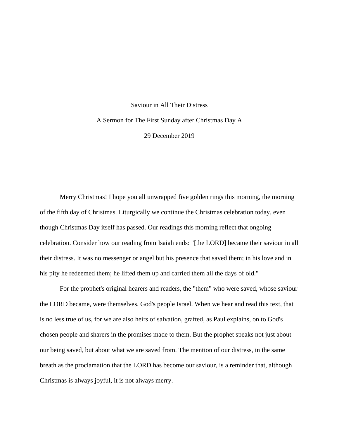## Saviour in All Their Distress A Sermon for The First Sunday after Christmas Day A 29 December 2019

Merry Christmas! I hope you all unwrapped five golden rings this morning, the morning of the fifth day of Christmas. Liturgically we continue the Christmas celebration today, even though Christmas Day itself has passed. Our readings this morning reflect that ongoing celebration. Consider how our reading from Isaiah ends: "[the LORD] became their saviour in all their distress. It was no messenger or angel but his presence that saved them; in his love and in his pity he redeemed them; he lifted them up and carried them all the days of old."

For the prophet's original hearers and readers, the "them" who were saved, whose saviour the LORD became, were themselves, God's people Israel. When we hear and read this text, that is no less true of us, for we are also heirs of salvation, grafted, as Paul explains, on to God's chosen people and sharers in the promises made to them. But the prophet speaks not just about our being saved, but about what we are saved from. The mention of our distress, in the same breath as the proclamation that the LORD has become our saviour, is a reminder that, although Christmas is always joyful, it is not always merry.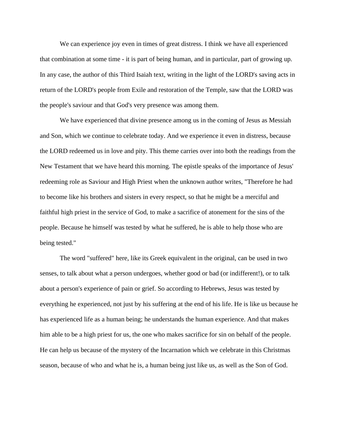We can experience joy even in times of great distress. I think we have all experienced that combination at some time - it is part of being human, and in particular, part of growing up. In any case, the author of this Third Isaiah text, writing in the light of the LORD's saving acts in return of the LORD's people from Exile and restoration of the Temple, saw that the LORD was the people's saviour and that God's very presence was among them.

We have experienced that divine presence among us in the coming of Jesus as Messiah and Son, which we continue to celebrate today. And we experience it even in distress, because the LORD redeemed us in love and pity. This theme carries over into both the readings from the New Testament that we have heard this morning. The epistle speaks of the importance of Jesus' redeeming role as Saviour and High Priest when the unknown author writes, "Therefore he had to become like his brothers and sisters in every respect, so that he might be a merciful and faithful high priest in the service of God, to make a sacrifice of atonement for the sins of the people. Because he himself was tested by what he suffered, he is able to help those who are being tested."

The word "suffered" here, like its Greek equivalent in the original, can be used in two senses, to talk about what a person undergoes, whether good or bad (or indifferent!), or to talk about a person's experience of pain or grief. So according to Hebrews, Jesus was tested by everything he experienced, not just by his suffering at the end of his life. He is like us because he has experienced life as a human being; he understands the human experience. And that makes him able to be a high priest for us, the one who makes sacrifice for sin on behalf of the people. He can help us because of the mystery of the Incarnation which we celebrate in this Christmas season, because of who and what he is, a human being just like us, as well as the Son of God.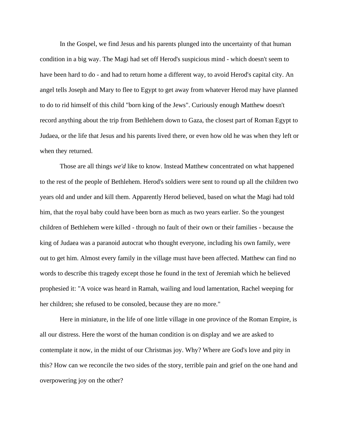In the Gospel, we find Jesus and his parents plunged into the uncertainty of that human condition in a big way. The Magi had set off Herod's suspicious mind - which doesn't seem to have been hard to do - and had to return home a different way, to avoid Herod's capital city. An angel tells Joseph and Mary to flee to Egypt to get away from whatever Herod may have planned to do to rid himself of this child "born king of the Jews". Curiously enough Matthew doesn't record anything about the trip from Bethlehem down to Gaza, the closest part of Roman Egypt to Judaea, or the life that Jesus and his parents lived there, or even how old he was when they left or when they returned.

Those are all things *we'd* like to know. Instead Matthew concentrated on what happened to the rest of the people of Bethlehem. Herod's soldiers were sent to round up all the children two years old and under and kill them. Apparently Herod believed, based on what the Magi had told him, that the royal baby could have been born as much as two years earlier. So the youngest children of Bethlehem were killed - through no fault of their own or their families - because the king of Judaea was a paranoid autocrat who thought everyone, including his own family, were out to get him. Almost every family in the village must have been affected. Matthew can find no words to describe this tragedy except those he found in the text of Jeremiah which he believed prophesied it: "A voice was heard in Ramah, wailing and loud lamentation, Rachel weeping for her children; she refused to be consoled, because they are no more."

Here in miniature, in the life of one little village in one province of the Roman Empire, is all our distress. Here the worst of the human condition is on display and we are asked to contemplate it now, in the midst of our Christmas joy. Why? Where are God's love and pity in this? How can we reconcile the two sides of the story, terrible pain and grief on the one hand and overpowering joy on the other?